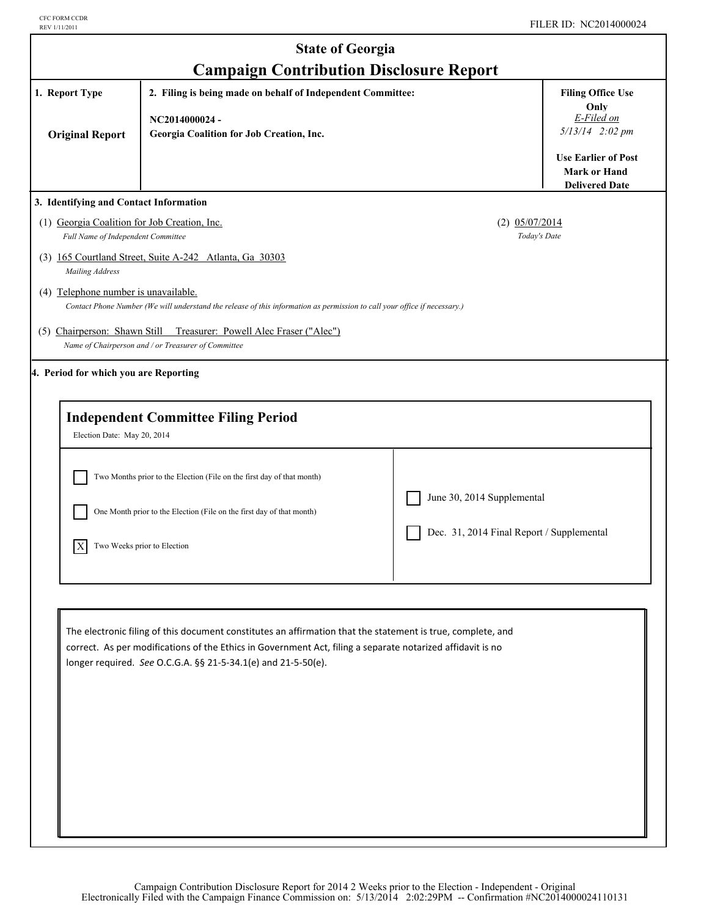|                                                                                    | <b>State of Georgia</b>                                                                                                                                                                                                                                                                    |                                           |                                                                                                                       |
|------------------------------------------------------------------------------------|--------------------------------------------------------------------------------------------------------------------------------------------------------------------------------------------------------------------------------------------------------------------------------------------|-------------------------------------------|-----------------------------------------------------------------------------------------------------------------------|
| 1. Report Type                                                                     | <b>Campaign Contribution Disclosure Report</b><br>2. Filing is being made on behalf of Independent Committee:                                                                                                                                                                              |                                           | <b>Filing Office Use</b>                                                                                              |
| <b>Original Report</b>                                                             | NC2014000024-<br>Georgia Coalition for Job Creation, Inc.                                                                                                                                                                                                                                  |                                           | Only<br>E-Filed on<br>$5/13/14$ 2:02 pm<br><b>Use Earlier of Post</b><br><b>Mark or Hand</b><br><b>Delivered Date</b> |
| 3. Identifying and Contact Information                                             |                                                                                                                                                                                                                                                                                            |                                           |                                                                                                                       |
| (1) Georgia Coalition for Job Creation, Inc.<br>Full Name of Independent Committee |                                                                                                                                                                                                                                                                                            | $(2)$ 05/07/2014<br>Today's Date          |                                                                                                                       |
| Mailing Address                                                                    | (3) 165 Courtland Street, Suite A-242 Atlanta, Ga 30303                                                                                                                                                                                                                                    |                                           |                                                                                                                       |
| (4) Telephone number is unavailable.                                               | Contact Phone Number (We will understand the release of this information as permission to call your office if necessary.)                                                                                                                                                                  |                                           |                                                                                                                       |
| (5) Chairperson: Shawn Still                                                       | Treasurer: Powell Alec Fraser ("Alec")<br>Name of Chairperson and / or Treasurer of Committee                                                                                                                                                                                              |                                           |                                                                                                                       |
| 4. Period for which you are Reporting                                              |                                                                                                                                                                                                                                                                                            |                                           |                                                                                                                       |
| Election Date: May 20, 2014                                                        | <b>Independent Committee Filing Period</b>                                                                                                                                                                                                                                                 |                                           |                                                                                                                       |
|                                                                                    | Two Months prior to the Election (File on the first day of that month)                                                                                                                                                                                                                     |                                           |                                                                                                                       |
|                                                                                    | One Month prior to the Election (File on the first day of that month)                                                                                                                                                                                                                      | June 30, 2014 Supplemental                |                                                                                                                       |
| $\vert$ X                                                                          | Two Weeks prior to Election                                                                                                                                                                                                                                                                | Dec. 31, 2014 Final Report / Supplemental |                                                                                                                       |
|                                                                                    |                                                                                                                                                                                                                                                                                            |                                           |                                                                                                                       |
|                                                                                    | The electronic filing of this document constitutes an affirmation that the statement is true, complete, and<br>correct. As per modifications of the Ethics in Government Act, filing a separate notarized affidavit is no<br>longer required. See O.C.G.A. §§ 21-5-34.1(e) and 21-5-50(e). |                                           |                                                                                                                       |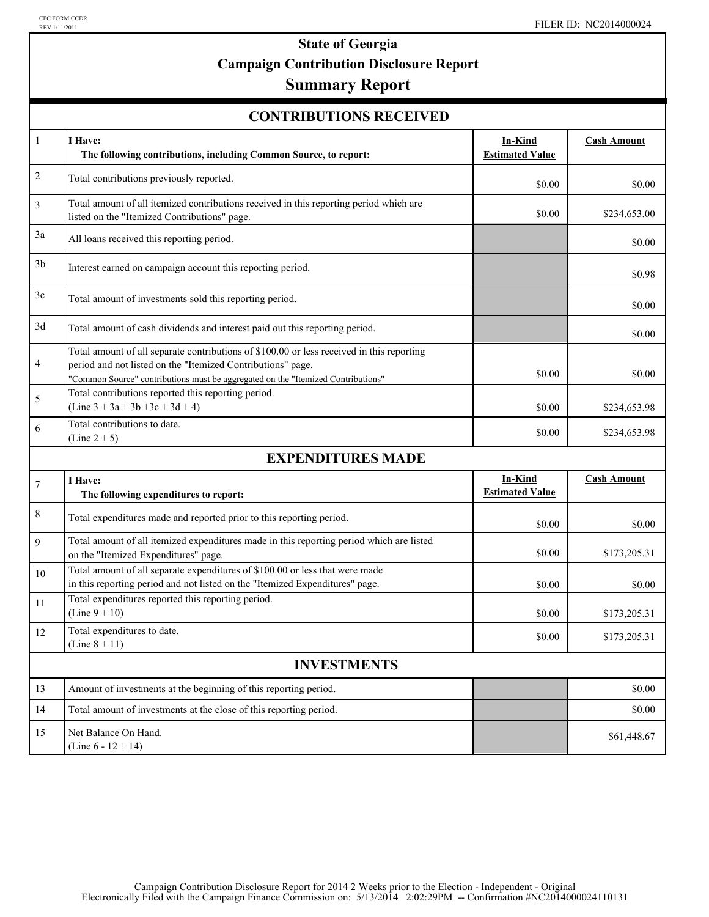# **State of Georgia Campaign Contribution Disclosure Report**

## **Summary Report**

| <b>CONTRIBUTIONS RECEIVED</b> |  |
|-------------------------------|--|
|-------------------------------|--|

| $\mathbf{1}$   | I Have:<br>The following contributions, including Common Source, to report:                                                                                                                                                                  | In-Kind<br><b>Estimated Value</b> | <b>Cash Amount</b> |
|----------------|----------------------------------------------------------------------------------------------------------------------------------------------------------------------------------------------------------------------------------------------|-----------------------------------|--------------------|
| $\overline{c}$ | Total contributions previously reported.                                                                                                                                                                                                     | \$0.00                            | \$0.00             |
| 3              | Total amount of all itemized contributions received in this reporting period which are<br>listed on the "Itemized Contributions" page.                                                                                                       | \$0.00                            | \$234,653.00       |
| 3a             | All loans received this reporting period.                                                                                                                                                                                                    |                                   | \$0.00             |
| 3 <sub>b</sub> | Interest earned on campaign account this reporting period.                                                                                                                                                                                   |                                   | \$0.98             |
| 3c             | Total amount of investments sold this reporting period.                                                                                                                                                                                      |                                   | \$0.00             |
| 3d             | Total amount of cash dividends and interest paid out this reporting period.                                                                                                                                                                  |                                   | \$0.00             |
| 4              | Total amount of all separate contributions of \$100.00 or less received in this reporting<br>period and not listed on the "Itemized Contributions" page.<br>"Common Source" contributions must be aggregated on the "Itemized Contributions" | \$0.00                            | \$0.00             |
| 5              | Total contributions reported this reporting period.<br>$(Line 3 + 3a + 3b + 3c + 3d + 4)$                                                                                                                                                    | \$0.00                            | \$234,653.98       |
| 6              | Total contributions to date.<br>$(Line 2 + 5)$                                                                                                                                                                                               | \$0.00                            | \$234,653.98       |
|                | <b>EXPENDITURES MADE</b>                                                                                                                                                                                                                     |                                   |                    |
| $\tau$         | I Have:<br>The following expenditures to report:                                                                                                                                                                                             | In-Kind<br><b>Estimated Value</b> | <b>Cash Amount</b> |
| 8              | Total expenditures made and reported prior to this reporting period.                                                                                                                                                                         | \$0.00                            | \$0.00             |
| 9              | Total amount of all itemized expenditures made in this reporting period which are listed<br>on the "Itemized Expenditures" page.                                                                                                             | \$0.00                            | \$173,205.31       |
| 10             | Total amount of all separate expenditures of \$100.00 or less that were made<br>in this reporting period and not listed on the "Itemized Expenditures" page.                                                                                 | \$0.00                            | \$0.00             |
| 11             | Total expenditures reported this reporting period.<br>$(Line 9 + 10)$                                                                                                                                                                        | \$0.00                            | \$173,205.31       |
| 12             | Total expenditures to date.<br>(Line $8 + 11$ )                                                                                                                                                                                              | \$0.00                            | \$173,205.31       |
|                | <b>INVESTMENTS</b>                                                                                                                                                                                                                           |                                   |                    |
| 13             | Amount of investments at the beginning of this reporting period.                                                                                                                                                                             |                                   | \$0.00             |
| 14             | Total amount of investments at the close of this reporting period.                                                                                                                                                                           |                                   | \$0.00             |
| 15             | Net Balance On Hand.<br>(Line $6 - 12 + 14$ )                                                                                                                                                                                                |                                   | \$61,448.67        |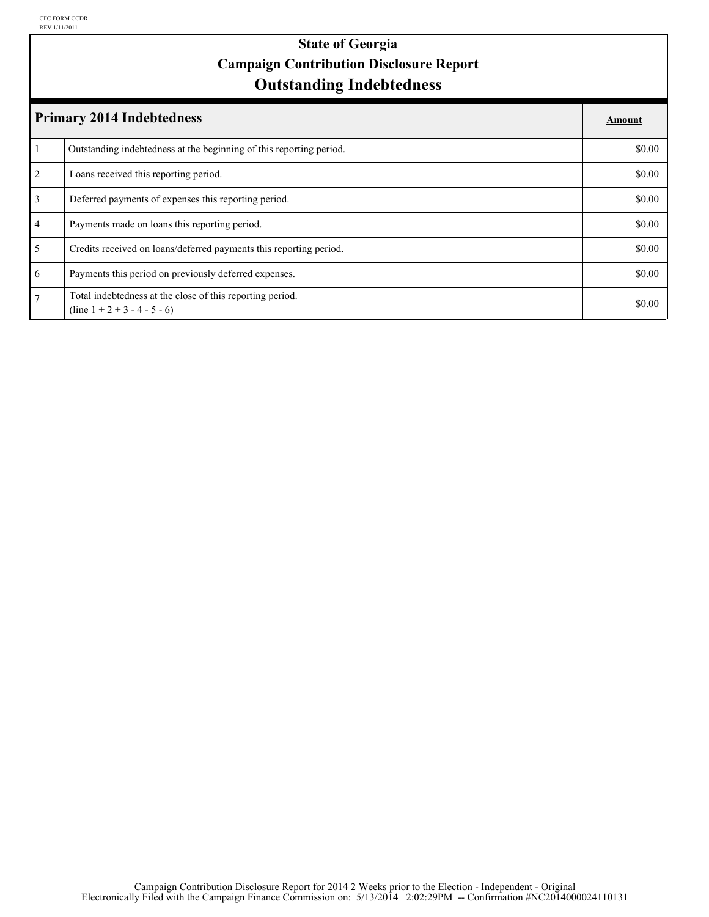## **Outstanding Indebtedness State of Georgia Campaign Contribution Disclosure Report**

|                | <b>Primary 2014 Indebtedness</b>                                                            | Amount |
|----------------|---------------------------------------------------------------------------------------------|--------|
|                | Outstanding indebtedness at the beginning of this reporting period.                         | \$0.00 |
| 2              | Loans received this reporting period.                                                       | \$0.00 |
| $\overline{3}$ | Deferred payments of expenses this reporting period.                                        | \$0.00 |
| $\overline{4}$ | Payments made on loans this reporting period.                                               | \$0.00 |
| 5              | Credits received on loans/deferred payments this reporting period.                          | \$0.00 |
| 6              | Payments this period on previously deferred expenses.                                       | \$0.00 |
| $\tau$         | Total indebtedness at the close of this reporting period.<br>$(line 1 + 2 + 3 - 4 - 5 - 6)$ | \$0.00 |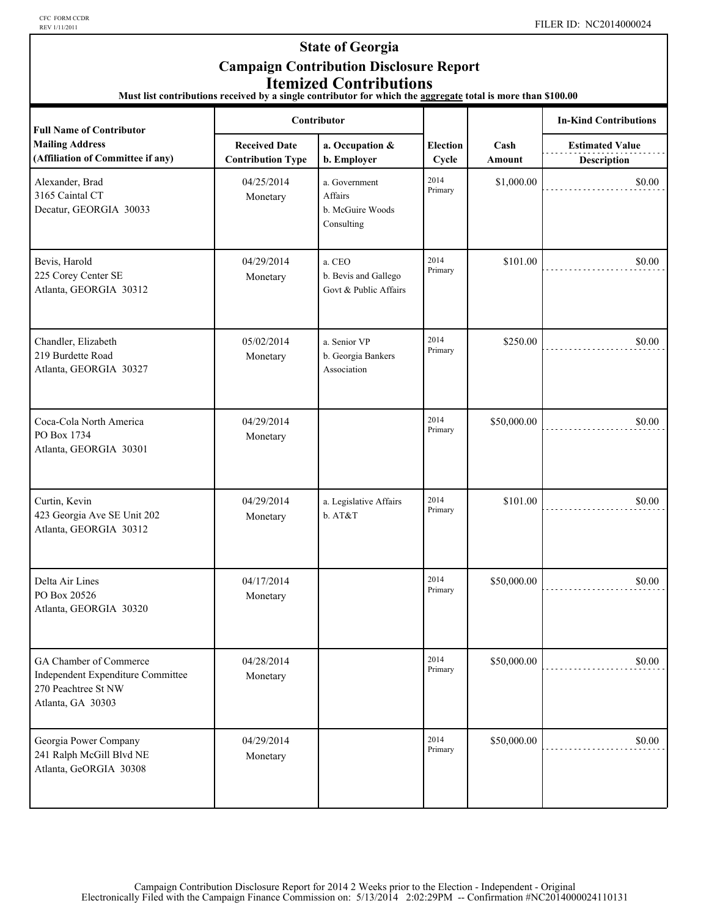CFC FORM CCDR<br>REV 1/11/2011

### **State of Georgia Campaign Contribution Disclosure Report Itemized Contributions**

**Must list contributions received by a single contributor for which the aggregate total is more than \$100.00** 

| <b>Full Name of Contributor</b>                                                                         | Contributor                                      |                                                            |                          |                | <b>In-Kind Contributions</b>                 |
|---------------------------------------------------------------------------------------------------------|--------------------------------------------------|------------------------------------------------------------|--------------------------|----------------|----------------------------------------------|
| <b>Mailing Address</b><br>(Affiliation of Committee if any)                                             | <b>Received Date</b><br><b>Contribution Type</b> | a. Occupation &<br>b. Employer                             | <b>Election</b><br>Cycle | Cash<br>Amount | <b>Estimated Value</b><br><b>Description</b> |
| Alexander, Brad<br>3165 Caintal CT<br>Decatur, GEORGIA 30033                                            | 04/25/2014<br>Monetary                           | a. Government<br>Affairs<br>b. McGuire Woods<br>Consulting | 2014<br>Primary          | \$1,000.00     | \$0.00                                       |
| Bevis, Harold<br>225 Corey Center SE<br>Atlanta, GEORGIA 30312                                          | 04/29/2014<br>Monetary                           | a. CEO<br>b. Bevis and Gallego<br>Govt & Public Affairs    | 2014<br>Primary          | \$101.00       | \$0.00                                       |
| Chandler, Elizabeth<br>219 Burdette Road<br>Atlanta, GEORGIA 30327                                      | 05/02/2014<br>Monetary                           | a. Senior VP<br>b. Georgia Bankers<br>Association          | 2014<br>Primary          | \$250.00       | \$0.00                                       |
| Coca-Cola North America<br>PO Box 1734<br>Atlanta, GEORGIA 30301                                        | 04/29/2014<br>Monetary                           |                                                            | 2014<br>Primary          | \$50,000.00    | \$0.00                                       |
| Curtin, Kevin<br>423 Georgia Ave SE Unit 202<br>Atlanta, GEORGIA 30312                                  | 04/29/2014<br>Monetary                           | a. Legislative Affairs<br>b. AT&T                          | 2014<br>Primary          | \$101.00       | \$0.00                                       |
| Delta Air Lines<br>PO Box 20526<br>Atlanta, GEORGIA 30320                                               | 04/17/2014<br>Monetary                           |                                                            | 2014<br>Primary          | \$50,000.00    | \$0.00                                       |
| GA Chamber of Commerce<br>Independent Expenditure Committee<br>270 Peachtree St NW<br>Atlanta, GA 30303 | 04/28/2014<br>Monetary                           |                                                            | 2014<br>Primary          | \$50,000.00    | \$0.00                                       |
| Georgia Power Company<br>241 Ralph McGill Blvd NE<br>Atlanta, GeORGIA 30308                             | 04/29/2014<br>Monetary                           |                                                            | 2014<br>Primary          | \$50,000.00    | \$0.00                                       |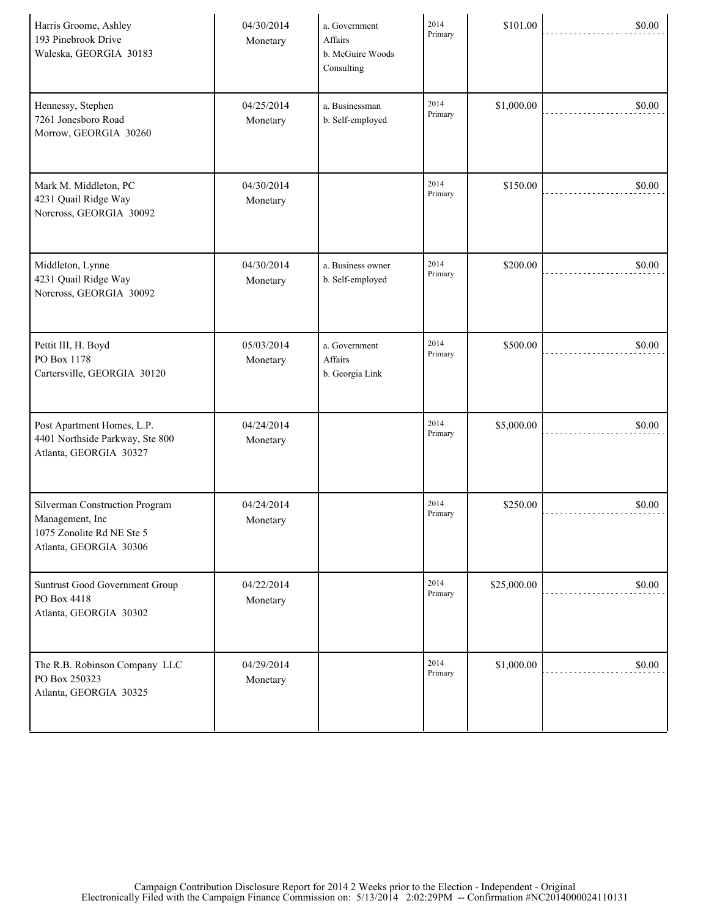| Harris Groome, Ashley<br>193 Pinebrook Drive<br>Waleska, GEORGIA 30183                                   | 04/30/2014<br>Monetary | a. Government<br>Affairs<br>b. McGuire Woods<br>Consulting | 2014<br>Primary | \$101.00    | \$0.00 |
|----------------------------------------------------------------------------------------------------------|------------------------|------------------------------------------------------------|-----------------|-------------|--------|
| Hennessy, Stephen<br>7261 Jonesboro Road<br>Morrow, GEORGIA 30260                                        | 04/25/2014<br>Monetary | a. Businessman<br>b. Self-employed                         | 2014<br>Primary | \$1,000.00  | \$0.00 |
| Mark M. Middleton, PC<br>4231 Quail Ridge Way<br>Norcross, GEORGIA 30092                                 | 04/30/2014<br>Monetary |                                                            | 2014<br>Primary | \$150.00    | \$0.00 |
| Middleton, Lynne<br>4231 Quail Ridge Way<br>Norcross, GEORGIA 30092                                      | 04/30/2014<br>Monetary | a. Business owner<br>b. Self-employed                      | 2014<br>Primary | \$200.00    | \$0.00 |
| Pettit III, H. Boyd<br>PO Box 1178<br>Cartersville, GEORGIA 30120                                        | 05/03/2014<br>Monetary | a. Government<br>Affairs<br>b. Georgia Link                | 2014<br>Primary | \$500.00    | \$0.00 |
| Post Apartment Homes, L.P.<br>4401 Northside Parkway, Ste 800<br>Atlanta, GEORGIA 30327                  | 04/24/2014<br>Monetary |                                                            | 2014<br>Primary | \$5,000.00  | \$0.00 |
| Silverman Construction Program<br>Management, Inc<br>1075 Zonolite Rd NE Ste 5<br>Atlanta, GEORGIA 30306 | 04/24/2014<br>Monetary |                                                            | 2014<br>Primary | \$250.00    | \$0.00 |
| Suntrust Good Government Group<br>PO Box 4418<br>Atlanta, GEORGIA 30302                                  | 04/22/2014<br>Monetary |                                                            | 2014<br>Primary | \$25,000.00 | \$0.00 |
| The R.B. Robinson Company LLC<br>PO Box 250323<br>Atlanta, GEORGIA 30325                                 | 04/29/2014<br>Monetary |                                                            | 2014<br>Primary | \$1,000.00  | \$0.00 |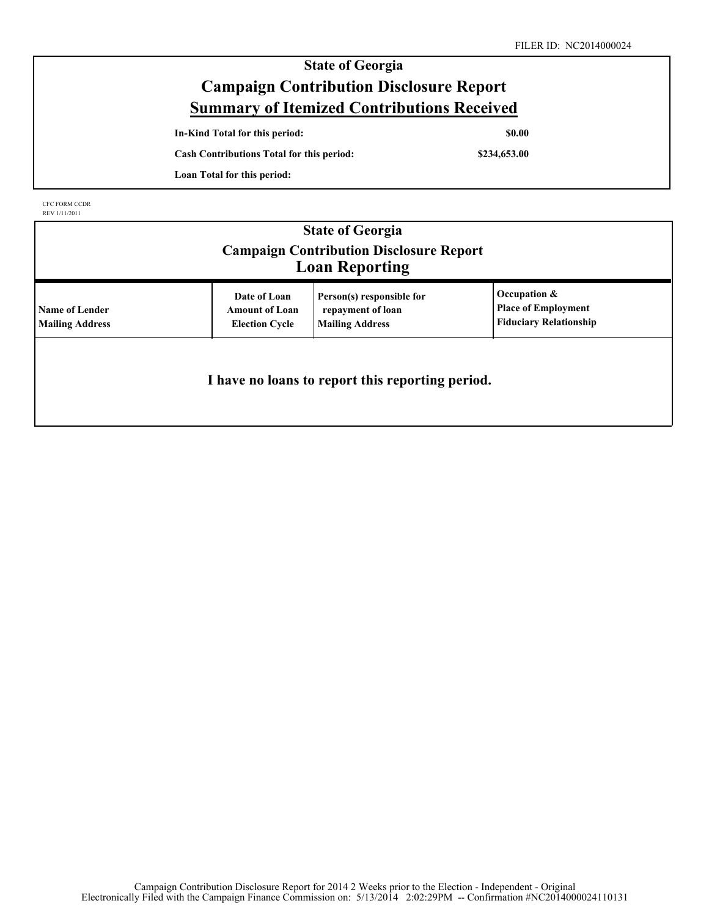| <b>State of Georgia</b>                           |              |  |
|---------------------------------------------------|--------------|--|
| <b>Campaign Contribution Disclosure Report</b>    |              |  |
| <b>Summary of Itemized Contributions Received</b> |              |  |
| In-Kind Total for this period:                    | <b>SO.00</b> |  |
| <b>Cash Contributions Total for this period:</b>  | \$234,653.00 |  |
| Loan Total for this period:                       |              |  |
|                                                   |              |  |

CFC FORM CCDR REV 1/11/2011

| <b>State of Georgia</b><br><b>Campaign Contribution Disclosure Report</b><br><b>Loan Reporting</b> |                                                                |                                                                          |                                                                             |  |  |  |
|----------------------------------------------------------------------------------------------------|----------------------------------------------------------------|--------------------------------------------------------------------------|-----------------------------------------------------------------------------|--|--|--|
| <b>Name of Lender</b><br><b>Mailing Address</b>                                                    | Date of Loan<br><b>Amount of Loan</b><br><b>Election Cycle</b> | Person(s) responsible for<br>repayment of loan<br><b>Mailing Address</b> | Occupation &<br><b>Place of Employment</b><br><b>Fiduciary Relationship</b> |  |  |  |
| I have no loans to report this reporting period.                                                   |                                                                |                                                                          |                                                                             |  |  |  |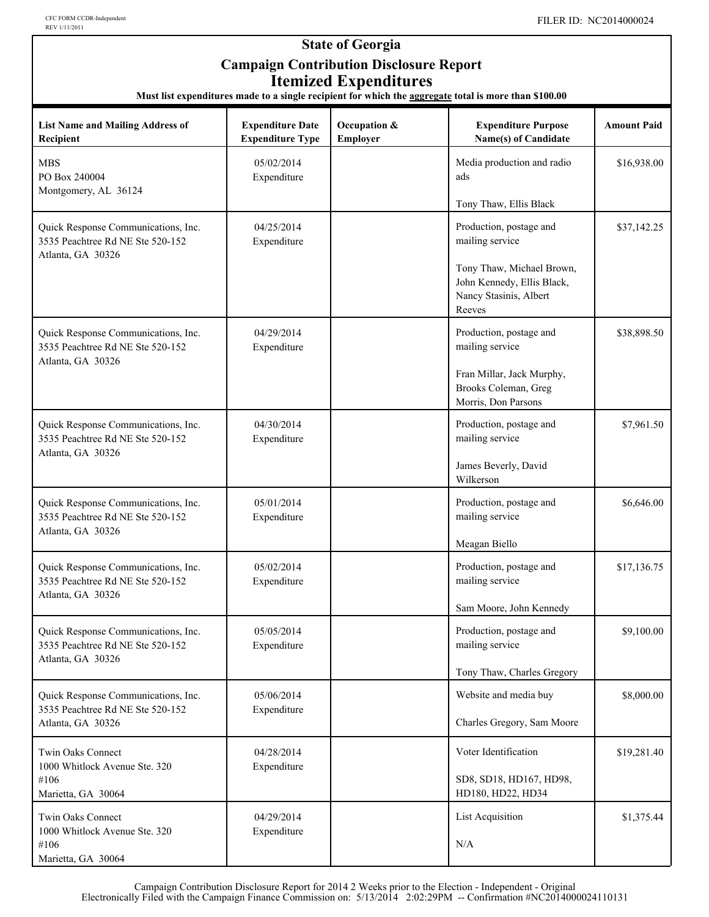#### **State of Georgia Campaign Contribution Disclosure Report Itemized Expenditures**

**Must list expenditures made to a single recipient for which the aggregate total is more than \$100.00**

| <b>List Name and Mailing Address of</b><br>Recipient                                         | <b>Expenditure Date</b><br><b>Expenditure Type</b> | Occupation &<br>Employer | <b>Expenditure Purpose</b><br>Name(s) of Candidate                                          | <b>Amount Paid</b> |
|----------------------------------------------------------------------------------------------|----------------------------------------------------|--------------------------|---------------------------------------------------------------------------------------------|--------------------|
| <b>MBS</b><br>PO Box 240004<br>Montgomery, AL 36124                                          | 05/02/2014<br>Expenditure                          |                          | Media production and radio<br>ads<br>Tony Thaw, Ellis Black                                 | \$16,938.00        |
| Quick Response Communications, Inc.<br>3535 Peachtree Rd NE Ste 520-152<br>Atlanta, GA 30326 | 04/25/2014<br>Expenditure                          |                          | Production, postage and<br>mailing service                                                  | \$37,142.25        |
|                                                                                              |                                                    |                          | Tony Thaw, Michael Brown,<br>John Kennedy, Ellis Black,<br>Nancy Stasinis, Albert<br>Reeves |                    |
| Quick Response Communications, Inc.<br>3535 Peachtree Rd NE Ste 520-152<br>Atlanta, GA 30326 | 04/29/2014<br>Expenditure                          |                          | Production, postage and<br>mailing service                                                  | \$38,898.50        |
|                                                                                              |                                                    |                          | Fran Millar, Jack Murphy,<br>Brooks Coleman, Greg<br>Morris, Don Parsons                    |                    |
| Quick Response Communications, Inc.<br>3535 Peachtree Rd NE Ste 520-152                      | 04/30/2014<br>Expenditure                          |                          | Production, postage and<br>mailing service                                                  | \$7,961.50         |
| Atlanta, GA 30326                                                                            |                                                    |                          | James Beverly, David<br>Wilkerson                                                           |                    |
| Quick Response Communications, Inc.<br>3535 Peachtree Rd NE Ste 520-152<br>Atlanta, GA 30326 | 05/01/2014<br>Expenditure                          |                          | Production, postage and<br>mailing service                                                  | \$6,646.00         |
|                                                                                              |                                                    |                          | Meagan Biello                                                                               |                    |
| Quick Response Communications, Inc.<br>3535 Peachtree Rd NE Ste 520-152<br>Atlanta, GA 30326 | 05/02/2014<br>Expenditure                          |                          | Production, postage and<br>mailing service                                                  | \$17,136.75        |
|                                                                                              |                                                    |                          | Sam Moore, John Kennedy                                                                     |                    |
| Quick Response Communications, Inc.<br>3535 Peachtree Rd NE Ste 520-152                      | 05/05/2014<br>Expenditure                          |                          | Production, postage and<br>mailing service                                                  | \$9,100.00         |
| Atlanta, GA 30326                                                                            |                                                    |                          | Tony Thaw, Charles Gregory                                                                  |                    |
| Quick Response Communications, Inc.                                                          | 05/06/2014                                         |                          | Website and media buy                                                                       | \$8,000.00         |
| 3535 Peachtree Rd NE Ste 520-152<br>Atlanta, GA 30326                                        | Expenditure                                        |                          | Charles Gregory, Sam Moore                                                                  |                    |
| Twin Oaks Connect<br>1000 Whitlock Avenue Ste. 320                                           | 04/28/2014<br>Expenditure                          |                          | Voter Identification                                                                        | \$19,281.40        |
| #106<br>Marietta, GA 30064                                                                   |                                                    |                          | SD8, SD18, HD167, HD98,<br>HD180, HD22, HD34                                                |                    |
| Twin Oaks Connect<br>1000 Whitlock Avenue Ste. 320                                           | 04/29/2014<br>Expenditure                          |                          | <b>List Acquisition</b>                                                                     | \$1,375.44         |
| #106<br>Marietta, GA 30064                                                                   |                                                    |                          | N/A                                                                                         |                    |